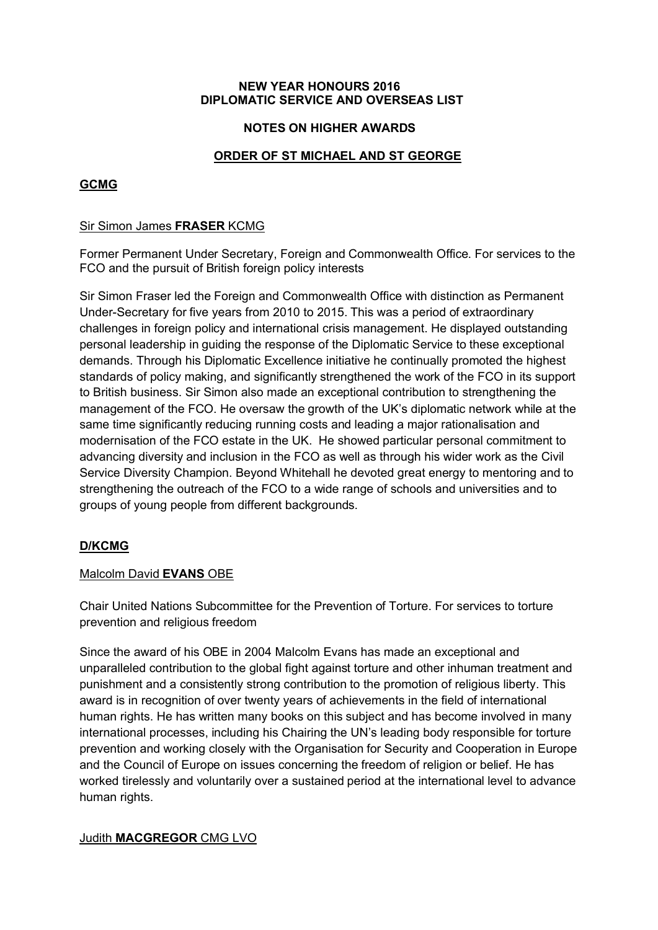#### NEW YEAR HONOURS 2016 DIPLOMATIC SERVICE AND OVERSEAS LIST

### NOTES ON HIGHER AWARDS

# ORDER OF ST MICHAEL AND ST GEORGE

# GCMG

### Sir Simon James FRASER KCMG

Former Permanent Under Secretary, Foreign and Commonwealth Office. For services to the FCO and the pursuit of British foreign policy interests

Sir Simon Fraser led the Foreign and Commonwealth Office with distinction as Permanent Under-Secretary for five years from 2010 to 2015. This was a period of extraordinary challenges in foreign policy and international crisis management. He displayed outstanding personal leadership in guiding the response of the Diplomatic Service to these exceptional demands. Through his Diplomatic Excellence initiative he continually promoted the highest standards of policy making, and significantly strengthened the work of the FCO in its support to British business. Sir Simon also made an exceptional contribution to strengthening the management of the FCO. He oversaw the growth of the UK's diplomatic network while at the same time significantly reducing running costs and leading a major rationalisation and modernisation of the FCO estate in the UK. He showed particular personal commitment to advancing diversity and inclusion in the FCO as well as through his wider work as the Civil Service Diversity Champion. Beyond Whitehall he devoted great energy to mentoring and to strengthening the outreach of the FCO to a wide range of schools and universities and to groups of young people from different backgrounds.

# D/KCMG

#### Malcolm David EVANS OBE

Chair United Nations Subcommittee for the Prevention of Torture. For services to torture prevention and religious freedom

Since the award of his OBE in 2004 Malcolm Evans has made an exceptional and unparalleled contribution to the global fight against torture and other inhuman treatment and punishment and a consistently strong contribution to the promotion of religious liberty. This award is in recognition of over twenty years of achievements in the field of international human rights. He has written many books on this subject and has become involved in many international processes, including his Chairing the UN's leading body responsible for torture prevention and working closely with the Organisation for Security and Cooperation in Europe and the Council of Europe on issues concerning the freedom of religion or belief. He has worked tirelessly and voluntarily over a sustained period at the international level to advance human rights.

# Judith MACGREGOR CMG LVO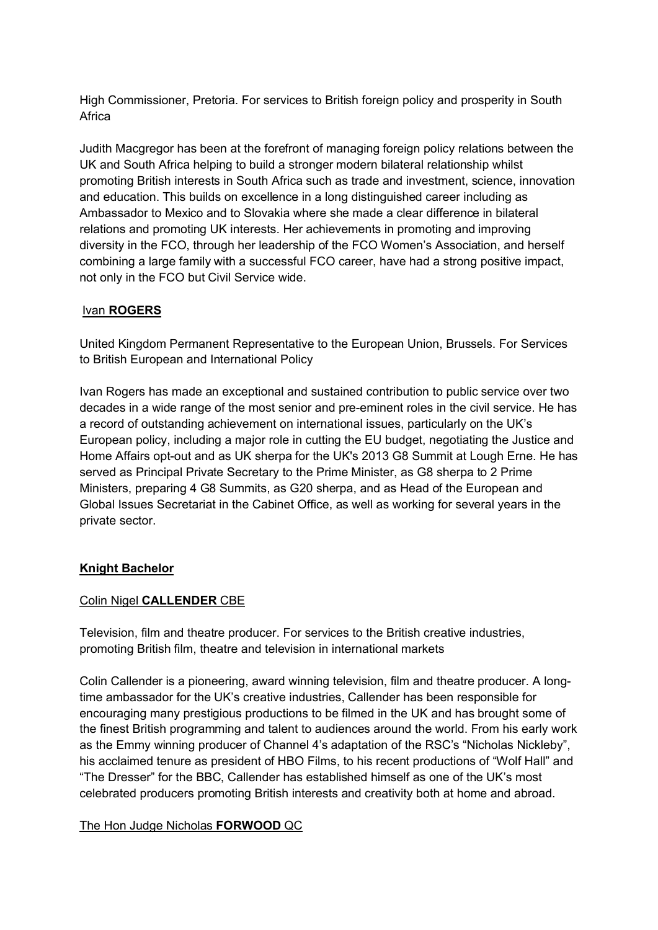High Commissioner, Pretoria. For services to British foreign policy and prosperity in South Africa

Judith Macgregor has been at the forefront of managing foreign policy relations between the UK and South Africa helping to build a stronger modern bilateral relationship whilst promoting British interests in South Africa such as trade and investment, science, innovation and education. This builds on excellence in a long distinguished career including as Ambassador to Mexico and to Slovakia where she made a clear difference in bilateral relations and promoting UK interests. Her achievements in promoting and improving diversity in the FCO, through her leadership of the FCO Women's Association, and herself combining a large family with a successful FCO career, have had a strong positive impact, not only in the FCO but Civil Service wide.

# Ivan ROGERS

United Kingdom Permanent Representative to the European Union, Brussels. For Services to British European and International Policy

Ivan Rogers has made an exceptional and sustained contribution to public service over two decades in a wide range of the most senior and pre-eminent roles in the civil service. He has a record of outstanding achievement on international issues, particularly on the UK's European policy, including a major role in cutting the EU budget, negotiating the Justice and Home Affairs opt-out and as UK sherpa for the UK's 2013 G8 Summit at Lough Erne. He has served as Principal Private Secretary to the Prime Minister, as G8 sherpa to 2 Prime Ministers, preparing 4 G8 Summits, as G20 sherpa, and as Head of the European and Global Issues Secretariat in the Cabinet Office, as well as working for several years in the private sector.

# Knight Bachelor

# Colin Nigel CALLENDER CBE

Television, film and theatre producer. For services to the British creative industries, promoting British film, theatre and television in international markets

Colin Callender is a pioneering, award winning television, film and theatre producer. A longtime ambassador for the UK's creative industries, Callender has been responsible for encouraging many prestigious productions to be filmed in the UK and has brought some of the finest British programming and talent to audiences around the world. From his early work as the Emmy winning producer of Channel 4's adaptation of the RSC's "Nicholas Nickleby", his acclaimed tenure as president of HBO Films, to his recent productions of "Wolf Hall" and "The Dresser" for the BBC, Callender has established himself as one of the UK's most celebrated producers promoting British interests and creativity both at home and abroad.

# The Hon Judge Nicholas FORWOOD QC